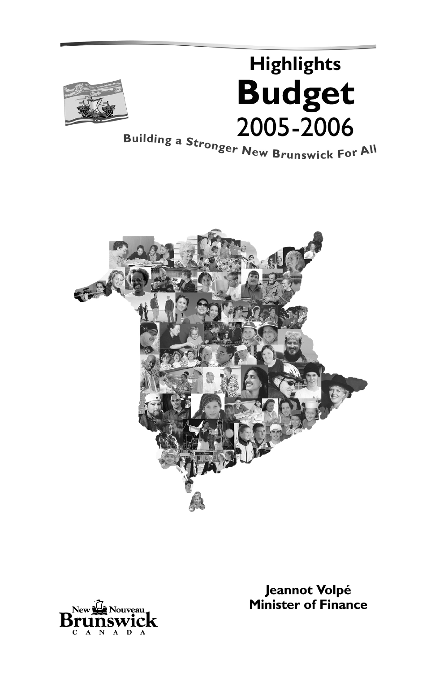

# **Highlights Budget** 2005-2006 Building a Stronger New Brunswick For All





Jeannot Volpé **Minister of Finance**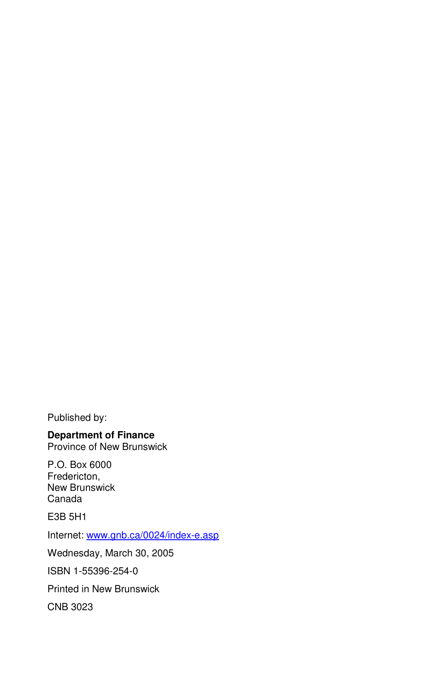Published by:

## **Department of Finance**

Province of New Brunswick

P.O. Box 6000 Fredericton, New Brunswick Canada

E3B 5H1

Internet: www.gnb.ca/0024/index-e.asp

Wednesday, March 30, 2005

ISBN 1-55396-254-0

Printed in New Brunswick

CNB 3023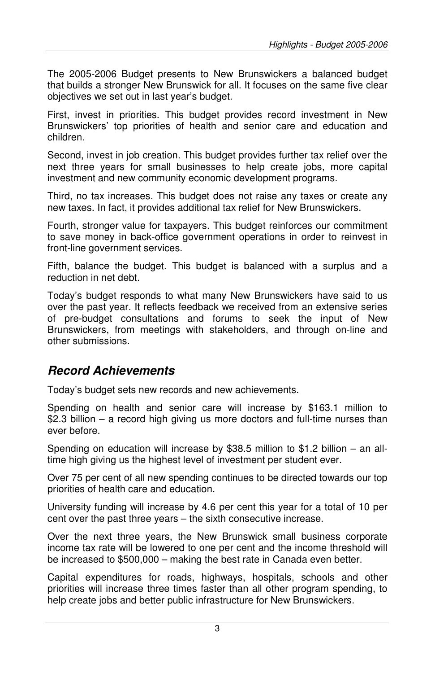The 2005-2006 Budget presents to New Brunswickers a balanced budget that builds a stronger New Brunswick for all. It focuses on the same five clear objectives we set out in last year's budget.

First, invest in priorities. This budget provides record investment in New Brunswickers' top priorities of health and senior care and education and children.

Second, invest in job creation. This budget provides further tax relief over the next three years for small businesses to help create jobs, more capital investment and new community economic development programs.

Third, no tax increases. This budget does not raise any taxes or create any new taxes. In fact, it provides additional tax relief for New Brunswickers.

Fourth, stronger value for taxpayers. This budget reinforces our commitment to save money in back-office government operations in order to reinvest in front-line government services.

Fifth, balance the budget. This budget is balanced with a surplus and a reduction in net debt.

Today's budget responds to what many New Brunswickers have said to us over the past year. It reflects feedback we received from an extensive series of pre-budget consultations and forums to seek the input of New Brunswickers, from meetings with stakeholders, and through on-line and other submissions.

## **Record Achievements**

Today's budget sets new records and new achievements.

Spending on health and senior care will increase by \$163.1 million to \$2.3 billion – a record high giving us more doctors and full-time nurses than ever before.

Spending on education will increase by \$38.5 million to \$1.2 billion – an alltime high giving us the highest level of investment per student ever.

Over 75 per cent of all new spending continues to be directed towards our top priorities of health care and education.

University funding will increase by 4.6 per cent this year for a total of 10 per cent over the past three years – the sixth consecutive increase.

Over the next three years, the New Brunswick small business corporate income tax rate will be lowered to one per cent and the income threshold will be increased to \$500,000 – making the best rate in Canada even better.

Capital expenditures for roads, highways, hospitals, schools and other priorities will increase three times faster than all other program spending, to help create jobs and better public infrastructure for New Brunswickers.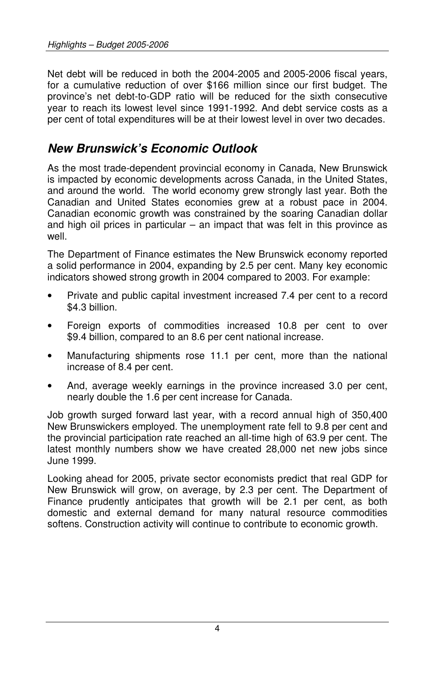Net debt will be reduced in both the 2004-2005 and 2005-2006 fiscal years, for a cumulative reduction of over \$166 million since our first budget. The province's net debt-to-GDP ratio will be reduced for the sixth consecutive year to reach its lowest level since 1991-1992. And debt service costs as a per cent of total expenditures will be at their lowest level in over two decades.

## **New Brunswick's Economic Outlook**

As the most trade-dependent provincial economy in Canada, New Brunswick is impacted by economic developments across Canada, in the United States, and around the world. The world economy grew strongly last year. Both the Canadian and United States economies grew at a robust pace in 2004. Canadian economic growth was constrained by the soaring Canadian dollar and high oil prices in particular – an impact that was felt in this province as well.

The Department of Finance estimates the New Brunswick economy reported a solid performance in 2004, expanding by 2.5 per cent. Many key economic indicators showed strong growth in 2004 compared to 2003. For example:

- Private and public capital investment increased 7.4 per cent to a record \$4.3 billion.
- Foreign exports of commodities increased 10.8 per cent to over \$9.4 billion, compared to an 8.6 per cent national increase.
- Manufacturing shipments rose 11.1 per cent, more than the national increase of 8.4 per cent.
- And, average weekly earnings in the province increased 3.0 per cent, nearly double the 1.6 per cent increase for Canada.

Job growth surged forward last year, with a record annual high of 350,400 New Brunswickers employed. The unemployment rate fell to 9.8 per cent and the provincial participation rate reached an all-time high of 63.9 per cent. The latest monthly numbers show we have created 28,000 net new jobs since June 1999.

Looking ahead for 2005, private sector economists predict that real GDP for New Brunswick will grow, on average, by 2.3 per cent. The Department of Finance prudently anticipates that growth will be 2.1 per cent, as both domestic and external demand for many natural resource commodities softens. Construction activity will continue to contribute to economic growth.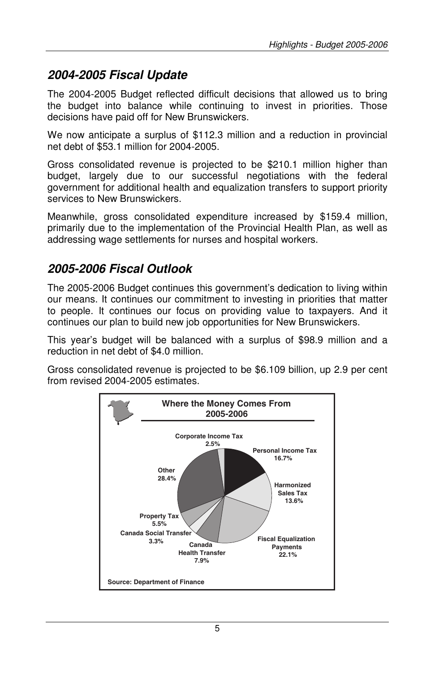## **2004-2005 Fiscal Update**

The 2004-2005 Budget reflected difficult decisions that allowed us to bring the budget into balance while continuing to invest in priorities. Those decisions have paid off for New Brunswickers.

We now anticipate a surplus of \$112.3 million and a reduction in provincial net debt of \$53.1 million for 2004-2005.

Gross consolidated revenue is projected to be \$210.1 million higher than budget, largely due to our successful negotiations with the federal government for additional health and equalization transfers to support priority services to New Brunswickers.

Meanwhile, gross consolidated expenditure increased by \$159.4 million, primarily due to the implementation of the Provincial Health Plan, as well as addressing wage settlements for nurses and hospital workers.

## **2005-2006 Fiscal Outlook**

The 2005-2006 Budget continues this government's dedication to living within our means. It continues our commitment to investing in priorities that matter to people. It continues our focus on providing value to taxpayers. And it continues our plan to build new job opportunities for New Brunswickers.

This year's budget will be balanced with a surplus of \$98.9 million and a reduction in net debt of \$4.0 million.

Gross consolidated revenue is projected to be \$6.109 billion, up 2.9 per cent from revised 2004-2005 estimates.

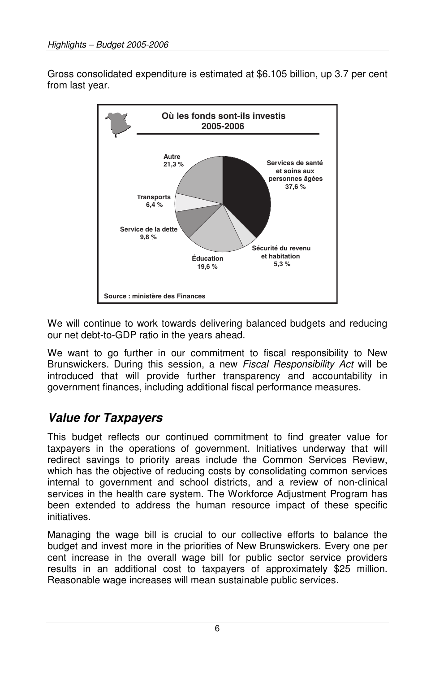Gross consolidated expenditure is estimated at \$6.105 billion, up 3.7 per cent from last year.



We will continue to work towards delivering balanced budgets and reducing our net debt-to-GDP ratio in the years ahead.

We want to go further in our commitment to fiscal responsibility to New Brunswickers. During this session, a new Fiscal Responsibility Act will be introduced that will provide further transparency and accountability in government finances, including additional fiscal performance measures.

## **Value for Taxpayers**

This budget reflects our continued commitment to find greater value for taxpayers in the operations of government. Initiatives underway that will redirect savings to priority areas include the Common Services Review, which has the objective of reducing costs by consolidating common services internal to government and school districts, and a review of non-clinical services in the health care system. The Workforce Adjustment Program has been extended to address the human resource impact of these specific initiatives.

Managing the wage bill is crucial to our collective efforts to balance the budget and invest more in the priorities of New Brunswickers. Every one per cent increase in the overall wage bill for public sector service providers results in an additional cost to taxpayers of approximately \$25 million. Reasonable wage increases will mean sustainable public services.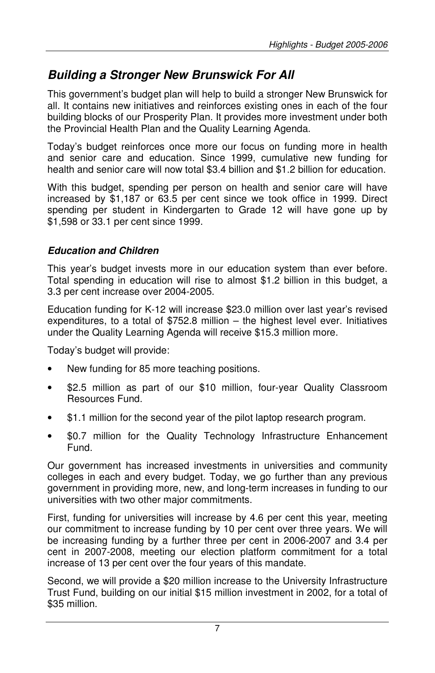## **Building a Stronger New Brunswick For All**

This government's budget plan will help to build a stronger New Brunswick for all. It contains new initiatives and reinforces existing ones in each of the four building blocks of our Prosperity Plan. It provides more investment under both the Provincial Health Plan and the Quality Learning Agenda.

Today's budget reinforces once more our focus on funding more in health and senior care and education. Since 1999, cumulative new funding for health and senior care will now total \$3.4 billion and \$1.2 billion for education.

With this budget, spending per person on health and senior care will have increased by \$1,187 or 63.5 per cent since we took office in 1999. Direct spending per student in Kindergarten to Grade 12 will have gone up by \$1,598 or 33.1 per cent since 1999.

#### **Education and Children**

This year's budget invests more in our education system than ever before. Total spending in education will rise to almost \$1.2 billion in this budget, a 3.3 per cent increase over 2004-2005.

Education funding for K-12 will increase \$23.0 million over last year's revised expenditures, to a total of \$752.8 million – the highest level ever. Initiatives under the Quality Learning Agenda will receive \$15.3 million more.

Today's budget will provide:

- New funding for 85 more teaching positions.
- \$2.5 million as part of our \$10 million, four-year Quality Classroom Resources Fund.
- \$1.1 million for the second year of the pilot laptop research program.
- \$0.7 million for the Quality Technology Infrastructure Enhancement Fund.

Our government has increased investments in universities and community colleges in each and every budget. Today, we go further than any previous government in providing more, new, and long-term increases in funding to our universities with two other major commitments.

First, funding for universities will increase by 4.6 per cent this year, meeting our commitment to increase funding by 10 per cent over three years. We will be increasing funding by a further three per cent in 2006-2007 and 3.4 per cent in 2007-2008, meeting our election platform commitment for a total increase of 13 per cent over the four years of this mandate.

Second, we will provide a \$20 million increase to the University Infrastructure Trust Fund, building on our initial \$15 million investment in 2002, for a total of \$35 million.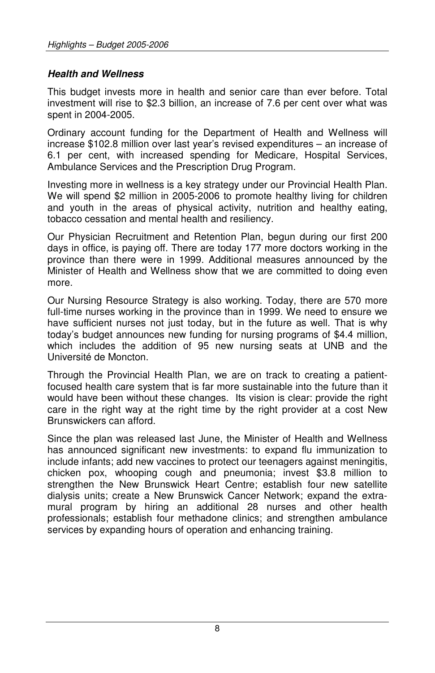#### **Health and Wellness**

This budget invests more in health and senior care than ever before. Total investment will rise to \$2.3 billion, an increase of 7.6 per cent over what was spent in 2004-2005.

Ordinary account funding for the Department of Health and Wellness will increase \$102.8 million over last year's revised expenditures – an increase of 6.1 per cent, with increased spending for Medicare, Hospital Services, Ambulance Services and the Prescription Drug Program.

Investing more in wellness is a key strategy under our Provincial Health Plan. We will spend \$2 million in 2005-2006 to promote healthy living for children and youth in the areas of physical activity, nutrition and healthy eating, tobacco cessation and mental health and resiliency.

Our Physician Recruitment and Retention Plan, begun during our first 200 days in office, is paying off. There are today 177 more doctors working in the province than there were in 1999. Additional measures announced by the Minister of Health and Wellness show that we are committed to doing even more.

Our Nursing Resource Strategy is also working. Today, there are 570 more full-time nurses working in the province than in 1999. We need to ensure we have sufficient nurses not just today, but in the future as well. That is why today's budget announces new funding for nursing programs of \$4.4 million, which includes the addition of 95 new nursing seats at UNB and the Université de Moncton.

Through the Provincial Health Plan, we are on track to creating a patientfocused health care system that is far more sustainable into the future than it would have been without these changes. Its vision is clear: provide the right care in the right way at the right time by the right provider at a cost New Brunswickers can afford.

Since the plan was released last June, the Minister of Health and Wellness has announced significant new investments: to expand flu immunization to include infants; add new vaccines to protect our teenagers against meningitis, chicken pox, whooping cough and pneumonia; invest \$3.8 million to strengthen the New Brunswick Heart Centre; establish four new satellite dialysis units; create a New Brunswick Cancer Network; expand the extramural program by hiring an additional 28 nurses and other health professionals; establish four methadone clinics; and strengthen ambulance services by expanding hours of operation and enhancing training.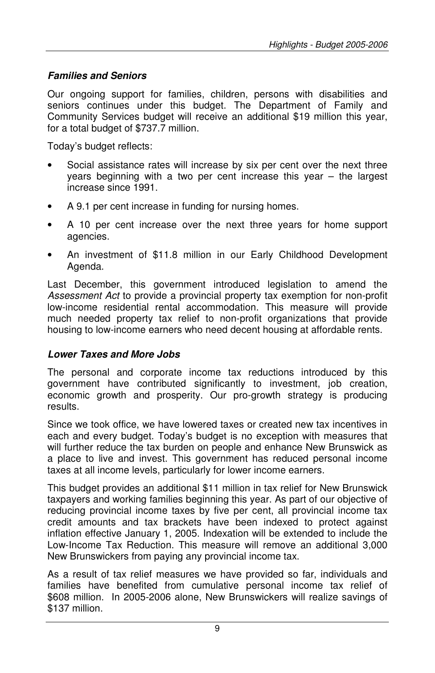#### **Families and Seniors**

Our ongoing support for families, children, persons with disabilities and seniors continues under this budget. The Department of Family and Community Services budget will receive an additional \$19 million this year, for a total budget of \$737.7 million.

Today's budget reflects:

- Social assistance rates will increase by six per cent over the next three years beginning with a two per cent increase this year – the largest increase since 1991.
- A 9.1 per cent increase in funding for nursing homes.
- A 10 per cent increase over the next three years for home support agencies.
- An investment of \$11.8 million in our Early Childhood Development Agenda.

Last December, this government introduced legislation to amend the Assessment Act to provide a provincial property tax exemption for non-profit low-income residential rental accommodation. This measure will provide much needed property tax relief to non-profit organizations that provide housing to low-income earners who need decent housing at affordable rents.

#### **Lower Taxes and More Jobs**

The personal and corporate income tax reductions introduced by this government have contributed significantly to investment, job creation, economic growth and prosperity. Our pro-growth strategy is producing results.

Since we took office, we have lowered taxes or created new tax incentives in each and every budget. Today's budget is no exception with measures that will further reduce the tax burden on people and enhance New Brunswick as a place to live and invest. This government has reduced personal income taxes at all income levels, particularly for lower income earners.

This budget provides an additional \$11 million in tax relief for New Brunswick taxpayers and working families beginning this year. As part of our objective of reducing provincial income taxes by five per cent, all provincial income tax credit amounts and tax brackets have been indexed to protect against inflation effective January 1, 2005. Indexation will be extended to include the Low-Income Tax Reduction. This measure will remove an additional 3,000 New Brunswickers from paying any provincial income tax.

As a result of tax relief measures we have provided so far, individuals and families have benefited from cumulative personal income tax relief of \$608 million. In 2005-2006 alone, New Brunswickers will realize savings of \$137 million.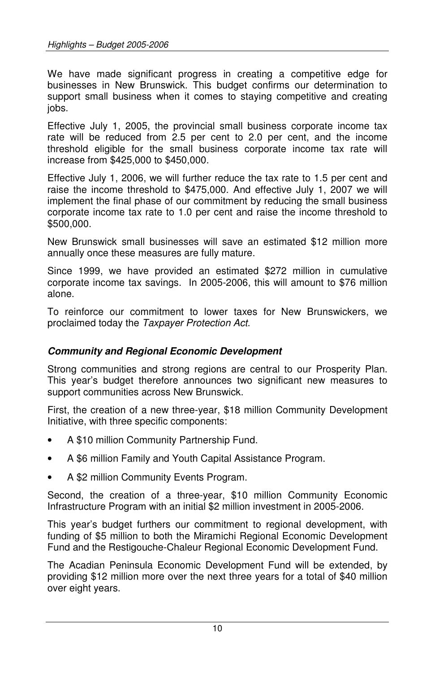We have made significant progress in creating a competitive edge for businesses in New Brunswick. This budget confirms our determination to support small business when it comes to staying competitive and creating iobs.

Effective July 1, 2005, the provincial small business corporate income tax rate will be reduced from 2.5 per cent to 2.0 per cent, and the income threshold eligible for the small business corporate income tax rate will increase from \$425,000 to \$450,000.

Effective July 1, 2006, we will further reduce the tax rate to 1.5 per cent and raise the income threshold to \$475,000. And effective July 1, 2007 we will implement the final phase of our commitment by reducing the small business corporate income tax rate to 1.0 per cent and raise the income threshold to \$500,000.

New Brunswick small businesses will save an estimated \$12 million more annually once these measures are fully mature.

Since 1999, we have provided an estimated \$272 million in cumulative corporate income tax savings. In 2005-2006, this will amount to \$76 million alone.

To reinforce our commitment to lower taxes for New Brunswickers, we proclaimed today the Taxpayer Protection Act.

#### **Community and Regional Economic Development**

Strong communities and strong regions are central to our Prosperity Plan. This year's budget therefore announces two significant new measures to support communities across New Brunswick.

First, the creation of a new three-year, \$18 million Community Development Initiative, with three specific components:

- A \$10 million Community Partnership Fund.
- A \$6 million Family and Youth Capital Assistance Program.
- A \$2 million Community Events Program.

Second, the creation of a three-year, \$10 million Community Economic Infrastructure Program with an initial \$2 million investment in 2005-2006.

This year's budget furthers our commitment to regional development, with funding of \$5 million to both the Miramichi Regional Economic Development Fund and the Restigouche-Chaleur Regional Economic Development Fund.

The Acadian Peninsula Economic Development Fund will be extended, by providing \$12 million more over the next three years for a total of \$40 million over eight years.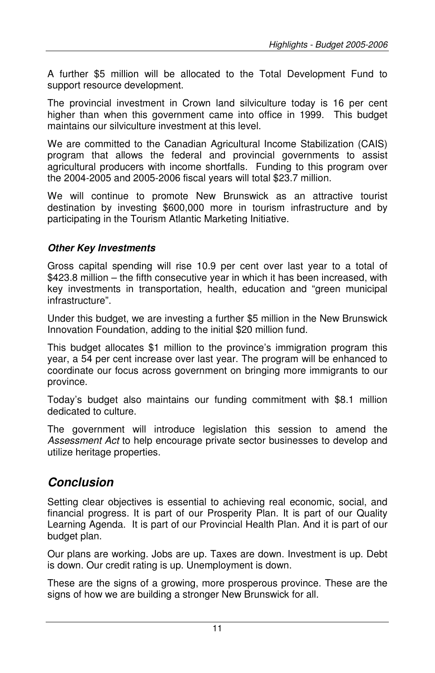A further \$5 million will be allocated to the Total Development Fund to support resource development.

The provincial investment in Crown land silviculture today is 16 per cent higher than when this government came into office in 1999. This budget maintains our silviculture investment at this level.

We are committed to the Canadian Agricultural Income Stabilization (CAIS) program that allows the federal and provincial governments to assist agricultural producers with income shortfalls. Funding to this program over the 2004-2005 and 2005-2006 fiscal years will total \$23.7 million.

We will continue to promote New Brunswick as an attractive tourist destination by investing \$600,000 more in tourism infrastructure and by participating in the Tourism Atlantic Marketing Initiative.

### **Other Key Investments**

Gross capital spending will rise 10.9 per cent over last year to a total of \$423.8 million – the fifth consecutive year in which it has been increased, with key investments in transportation, health, education and "green municipal infrastructure".

Under this budget, we are investing a further \$5 million in the New Brunswick Innovation Foundation, adding to the initial \$20 million fund.

This budget allocates \$1 million to the province's immigration program this year, a 54 per cent increase over last year. The program will be enhanced to coordinate our focus across government on bringing more immigrants to our province.

Today's budget also maintains our funding commitment with \$8.1 million dedicated to culture.

The government will introduce legislation this session to amend the Assessment Act to help encourage private sector businesses to develop and utilize heritage properties.

## **Conclusion**

Setting clear objectives is essential to achieving real economic, social, and financial progress. It is part of our Prosperity Plan. It is part of our Quality Learning Agenda. It is part of our Provincial Health Plan. And it is part of our budget plan.

Our plans are working. Jobs are up. Taxes are down. Investment is up. Debt is down. Our credit rating is up. Unemployment is down.

These are the signs of a growing, more prosperous province. These are the signs of how we are building a stronger New Brunswick for all.